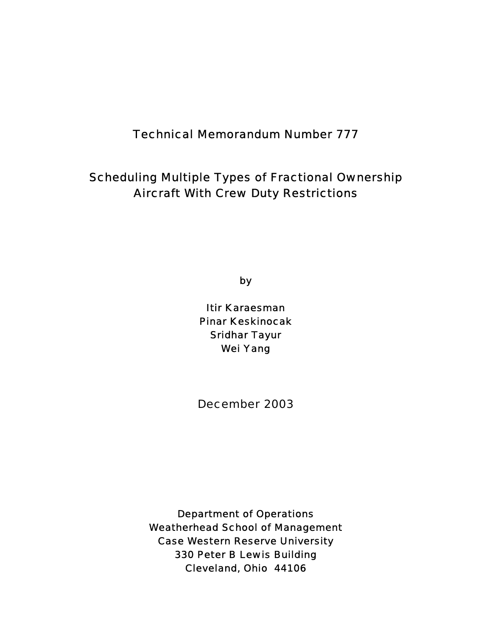# Technical Memorandum Number 777

# Scheduling Multiple Types of Fractional Ownership Aircraft With Crew Duty Restrictions

by

Itir Karaesman Pinar Keskinocak Sridhar Tayur Wei Yang

December 2003

Department of Operations Weatherhead School of Management Case Western Reserve University 330 Peter B Lewis Building Cleveland, Ohio 44106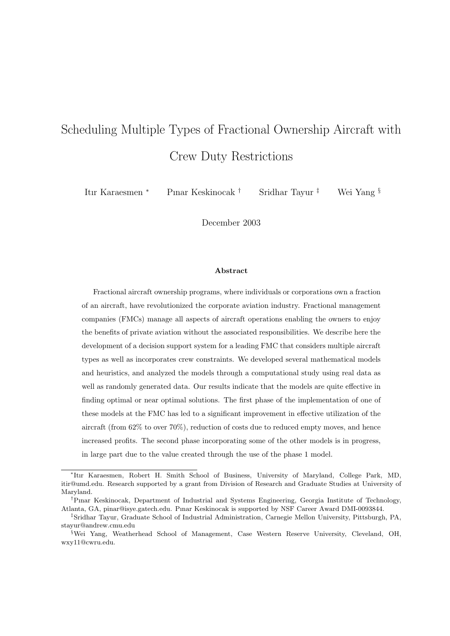# Scheduling Multiple Types of Fractional Ownership Aircraft with Crew Duty Restrictions

Itır Karaesmen <sup>∗</sup> Pınar Keskinocak † Sridhar Tayur ‡ Wei Yang §

December 2003

#### Abstract

Fractional aircraft ownership programs, where individuals or corporations own a fraction of an aircraft, have revolutionized the corporate aviation industry. Fractional management companies (FMCs) manage all aspects of aircraft operations enabling the owners to enjoy the benefits of private aviation without the associated responsibilities. We describe here the development of a decision support system for a leading FMC that considers multiple aircraft types as well as incorporates crew constraints. We developed several mathematical models and heuristics, and analyzed the models through a computational study using real data as well as randomly generated data. Our results indicate that the models are quite effective in finding optimal or near optimal solutions. The first phase of the implementation of one of these models at the FMC has led to a significant improvement in effective utilization of the aircraft (from 62% to over 70%), reduction of costs due to reduced empty moves, and hence increased profits. The second phase incorporating some of the other models is in progress, in large part due to the value created through the use of the phase 1 model.

<sup>∗</sup> Itır Karaesmen, Robert H. Smith School of Business, University of Maryland, College Park, MD, itir@umd.edu. Research supported by a grant from Division of Research and Graduate Studies at University of Maryland.

<sup>†</sup>Pınar Keskinocak, Department of Industrial and Systems Engineering, Georgia Institute of Technology, Atlanta, GA, pinar@isye.gatech.edu. Pınar Keskinocak is supported by NSF Career Award DMI-0093844.

<sup>‡</sup>Sridhar Tayur, Graduate School of Industrial Administration, Carnegie Mellon University, Pittsburgh, PA, stayur@andrew.cmu.edu

<sup>§</sup>Wei Yang, Weatherhead School of Management, Case Western Reserve University, Cleveland, OH, wxy11@cwru.edu.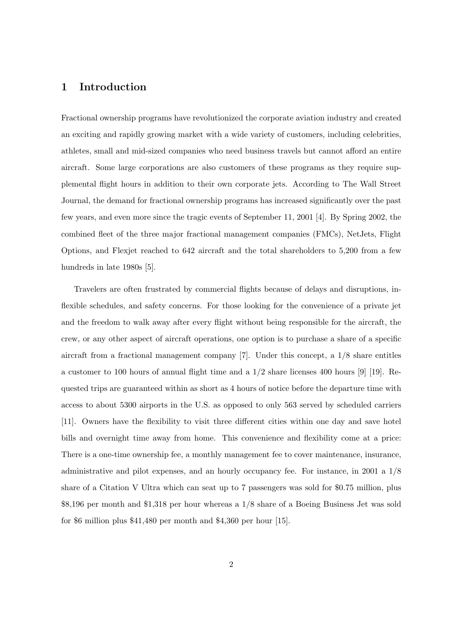## 1 Introduction

Fractional ownership programs have revolutionized the corporate aviation industry and created an exciting and rapidly growing market with a wide variety of customers, including celebrities, athletes, small and mid-sized companies who need business travels but cannot afford an entire aircraft. Some large corporations are also customers of these programs as they require supplemental flight hours in addition to their own corporate jets. According to The Wall Street Journal, the demand for fractional ownership programs has increased significantly over the past few years, and even more since the tragic events of September 11, 2001 [4]. By Spring 2002, the combined fleet of the three major fractional management companies (FMCs), NetJets, Flight Options, and Flexjet reached to 642 aircraft and the total shareholders to 5,200 from a few hundreds in late 1980s [5].

Travelers are often frustrated by commercial flights because of delays and disruptions, inflexible schedules, and safety concerns. For those looking for the convenience of a private jet and the freedom to walk away after every flight without being responsible for the aircraft, the crew, or any other aspect of aircraft operations, one option is to purchase a share of a specific aircraft from a fractional management company [7]. Under this concept, a 1/8 share entitles a customer to 100 hours of annual flight time and a  $1/2$  share licenses 400 hours [9] [19]. Requested trips are guaranteed within as short as 4 hours of notice before the departure time with access to about 5300 airports in the U.S. as opposed to only 563 served by scheduled carriers [11]. Owners have the flexibility to visit three different cities within one day and save hotel bills and overnight time away from home. This convenience and flexibility come at a price: There is a one-time ownership fee, a monthly management fee to cover maintenance, insurance, administrative and pilot expenses, and an hourly occupancy fee. For instance, in 2001 a 1/8 share of a Citation V Ultra which can seat up to 7 passengers was sold for \$0.75 million, plus \$8,196 per month and \$1,318 per hour whereas a 1/8 share of a Boeing Business Jet was sold for \$6 million plus \$41,480 per month and \$4,360 per hour [15].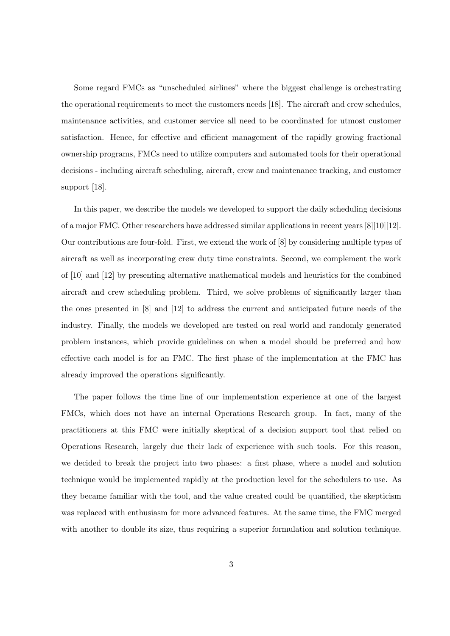Some regard FMCs as "unscheduled airlines" where the biggest challenge is orchestrating the operational requirements to meet the customers needs [18]. The aircraft and crew schedules, maintenance activities, and customer service all need to be coordinated for utmost customer satisfaction. Hence, for effective and efficient management of the rapidly growing fractional ownership programs, FMCs need to utilize computers and automated tools for their operational decisions - including aircraft scheduling, aircraft, crew and maintenance tracking, and customer support [18].

In this paper, we describe the models we developed to support the daily scheduling decisions of a major FMC. Other researchers have addressed similar applications in recent years [8][10][12]. Our contributions are four-fold. First, we extend the work of [8] by considering multiple types of aircraft as well as incorporating crew duty time constraints. Second, we complement the work of [10] and [12] by presenting alternative mathematical models and heuristics for the combined aircraft and crew scheduling problem. Third, we solve problems of significantly larger than the ones presented in [8] and [12] to address the current and anticipated future needs of the industry. Finally, the models we developed are tested on real world and randomly generated problem instances, which provide guidelines on when a model should be preferred and how effective each model is for an FMC. The first phase of the implementation at the FMC has already improved the operations significantly.

The paper follows the time line of our implementation experience at one of the largest FMCs, which does not have an internal Operations Research group. In fact, many of the practitioners at this FMC were initially skeptical of a decision support tool that relied on Operations Research, largely due their lack of experience with such tools. For this reason, we decided to break the project into two phases: a first phase, where a model and solution technique would be implemented rapidly at the production level for the schedulers to use. As they became familiar with the tool, and the value created could be quantified, the skepticism was replaced with enthusiasm for more advanced features. At the same time, the FMC merged with another to double its size, thus requiring a superior formulation and solution technique.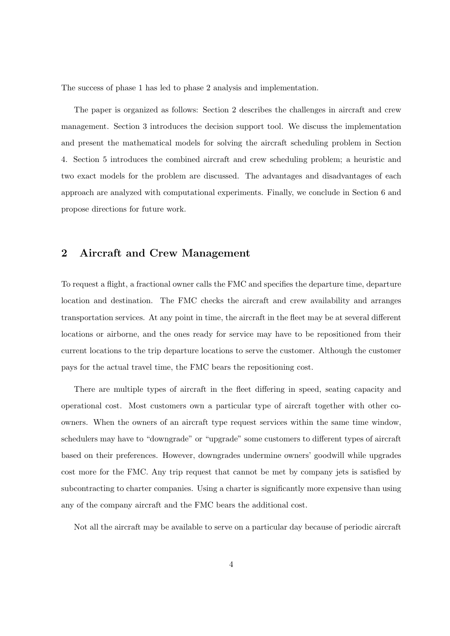The success of phase 1 has led to phase 2 analysis and implementation.

The paper is organized as follows: Section 2 describes the challenges in aircraft and crew management. Section 3 introduces the decision support tool. We discuss the implementation and present the mathematical models for solving the aircraft scheduling problem in Section 4. Section 5 introduces the combined aircraft and crew scheduling problem; a heuristic and two exact models for the problem are discussed. The advantages and disadvantages of each approach are analyzed with computational experiments. Finally, we conclude in Section 6 and propose directions for future work.

# 2 Aircraft and Crew Management

To request a flight, a fractional owner calls the FMC and specifies the departure time, departure location and destination. The FMC checks the aircraft and crew availability and arranges transportation services. At any point in time, the aircraft in the fleet may be at several different locations or airborne, and the ones ready for service may have to be repositioned from their current locations to the trip departure locations to serve the customer. Although the customer pays for the actual travel time, the FMC bears the repositioning cost.

There are multiple types of aircraft in the fleet differing in speed, seating capacity and operational cost. Most customers own a particular type of aircraft together with other coowners. When the owners of an aircraft type request services within the same time window, schedulers may have to "downgrade" or "upgrade" some customers to different types of aircraft based on their preferences. However, downgrades undermine owners' goodwill while upgrades cost more for the FMC. Any trip request that cannot be met by company jets is satisfied by subcontracting to charter companies. Using a charter is significantly more expensive than using any of the company aircraft and the FMC bears the additional cost.

Not all the aircraft may be available to serve on a particular day because of periodic aircraft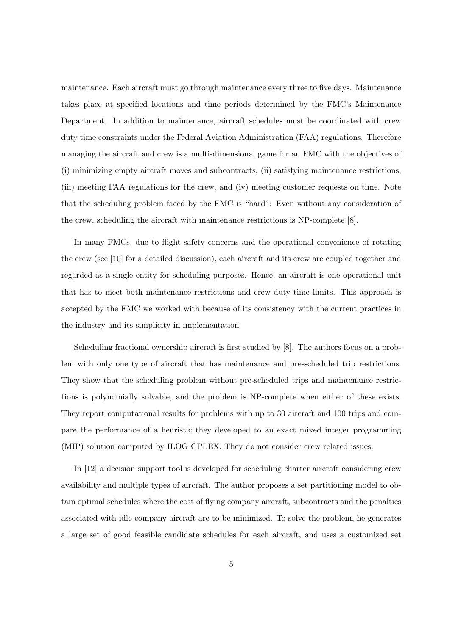maintenance. Each aircraft must go through maintenance every three to five days. Maintenance takes place at specified locations and time periods determined by the FMC's Maintenance Department. In addition to maintenance, aircraft schedules must be coordinated with crew duty time constraints under the Federal Aviation Administration (FAA) regulations. Therefore managing the aircraft and crew is a multi-dimensional game for an FMC with the objectives of (i) minimizing empty aircraft moves and subcontracts, (ii) satisfying maintenance restrictions, (iii) meeting FAA regulations for the crew, and (iv) meeting customer requests on time. Note that the scheduling problem faced by the FMC is "hard": Even without any consideration of the crew, scheduling the aircraft with maintenance restrictions is NP-complete [8].

In many FMCs, due to flight safety concerns and the operational convenience of rotating the crew (see [10] for a detailed discussion), each aircraft and its crew are coupled together and regarded as a single entity for scheduling purposes. Hence, an aircraft is one operational unit that has to meet both maintenance restrictions and crew duty time limits. This approach is accepted by the FMC we worked with because of its consistency with the current practices in the industry and its simplicity in implementation.

Scheduling fractional ownership aircraft is first studied by [8]. The authors focus on a problem with only one type of aircraft that has maintenance and pre-scheduled trip restrictions. They show that the scheduling problem without pre-scheduled trips and maintenance restrictions is polynomially solvable, and the problem is NP-complete when either of these exists. They report computational results for problems with up to 30 aircraft and 100 trips and compare the performance of a heuristic they developed to an exact mixed integer programming (MIP) solution computed by ILOG CPLEX. They do not consider crew related issues.

In [12] a decision support tool is developed for scheduling charter aircraft considering crew availability and multiple types of aircraft. The author proposes a set partitioning model to obtain optimal schedules where the cost of flying company aircraft, subcontracts and the penalties associated with idle company aircraft are to be minimized. To solve the problem, he generates a large set of good feasible candidate schedules for each aircraft, and uses a customized set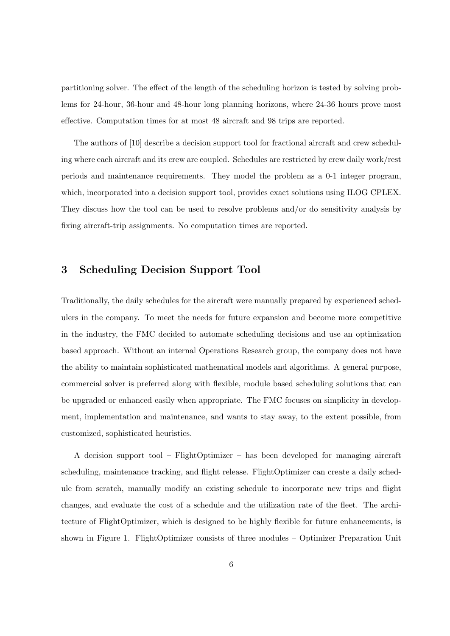partitioning solver. The effect of the length of the scheduling horizon is tested by solving problems for 24-hour, 36-hour and 48-hour long planning horizons, where 24-36 hours prove most effective. Computation times for at most 48 aircraft and 98 trips are reported.

The authors of [10] describe a decision support tool for fractional aircraft and crew scheduling where each aircraft and its crew are coupled. Schedules are restricted by crew daily work/rest periods and maintenance requirements. They model the problem as a 0-1 integer program, which, incorporated into a decision support tool, provides exact solutions using ILOG CPLEX. They discuss how the tool can be used to resolve problems and/or do sensitivity analysis by fixing aircraft-trip assignments. No computation times are reported.

# 3 Scheduling Decision Support Tool

Traditionally, the daily schedules for the aircraft were manually prepared by experienced schedulers in the company. To meet the needs for future expansion and become more competitive in the industry, the FMC decided to automate scheduling decisions and use an optimization based approach. Without an internal Operations Research group, the company does not have the ability to maintain sophisticated mathematical models and algorithms. A general purpose, commercial solver is preferred along with flexible, module based scheduling solutions that can be upgraded or enhanced easily when appropriate. The FMC focuses on simplicity in development, implementation and maintenance, and wants to stay away, to the extent possible, from customized, sophisticated heuristics.

A decision support tool – FlightOptimizer – has been developed for managing aircraft scheduling, maintenance tracking, and flight release. FlightOptimizer can create a daily schedule from scratch, manually modify an existing schedule to incorporate new trips and flight changes, and evaluate the cost of a schedule and the utilization rate of the fleet. The architecture of FlightOptimizer, which is designed to be highly flexible for future enhancements, is shown in Figure 1. FlightOptimizer consists of three modules – Optimizer Preparation Unit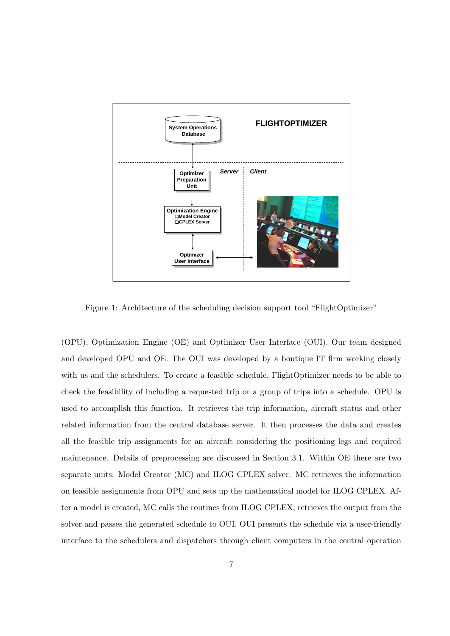

Figure 1: Architecture of the scheduling decision support tool "FlightOptimizer"

(OPU), Optimization Engine (OE) and Optimizer User Interface (OUI). Our team designed and developed OPU and OE. The OUI was developed by a boutique IT firm working closely with us and the schedulers. To create a feasible schedule, FlightOptimizer needs to be able to check the feasibility of including a requested trip or a group of trips into a schedule. OPU is used to accomplish this function. It retrieves the trip information, aircraft status and other related information from the central database server. It then processes the data and creates all the feasible trip assignments for an aircraft considering the positioning legs and required maintenance. Details of preprocessing are discussed in Section 3.1. Within OE there are two separate units: Model Creator (MC) and ILOG CPLEX solver. MC retrieves the information on feasible assignments from OPU and sets up the mathematical model for ILOG CPLEX. After a model is created, MC calls the routines from ILOG CPLEX, retrieves the output from the solver and passes the generated schedule to OUI. OUI presents the schedule via a user-friendly interface to the schedulers and dispatchers through client computers in the central operation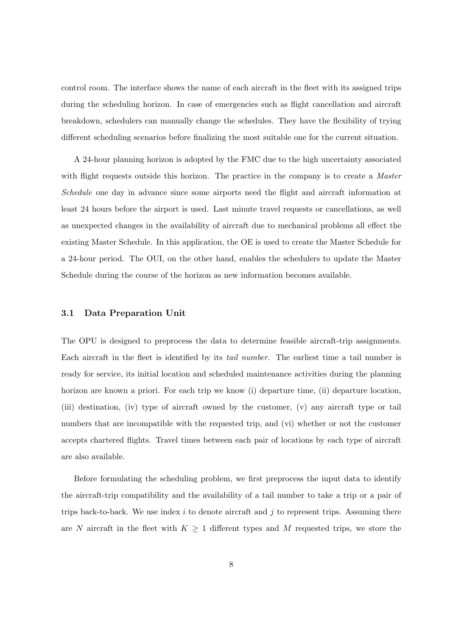control room. The interface shows the name of each aircraft in the fleet with its assigned trips during the scheduling horizon. In case of emergencies such as flight cancellation and aircraft breakdown, schedulers can manually change the schedules. They have the flexibility of trying different scheduling scenarios before finalizing the most suitable one for the current situation.

A 24-hour planning horizon is adopted by the FMC due to the high uncertainty associated with flight requests outside this horizon. The practice in the company is to create a *Master* Schedule one day in advance since some airports need the flight and aircraft information at least 24 hours before the airport is used. Last minute travel requests or cancellations, as well as unexpected changes in the availability of aircraft due to mechanical problems all effect the existing Master Schedule. In this application, the OE is used to create the Master Schedule for a 24-hour period. The OUI, on the other hand, enables the schedulers to update the Master Schedule during the course of the horizon as new information becomes available.

#### 3.1 Data Preparation Unit

The OPU is designed to preprocess the data to determine feasible aircraft-trip assignments. Each aircraft in the fleet is identified by its tail number. The earliest time a tail number is ready for service, its initial location and scheduled maintenance activities during the planning horizon are known a priori. For each trip we know (i) departure time, (ii) departure location, (iii) destination, (iv) type of aircraft owned by the customer, (v) any aircraft type or tail numbers that are incompatible with the requested trip, and (vi) whether or not the customer accepts chartered flights. Travel times between each pair of locations by each type of aircraft are also available.

Before formulating the scheduling problem, we first preprocess the input data to identify the aircraft-trip compatibility and the availability of a tail number to take a trip or a pair of trips back-to-back. We use index  $i$  to denote aircraft and  $j$  to represent trips. Assuming there are N aircraft in the fleet with  $K \geq 1$  different types and M requested trips, we store the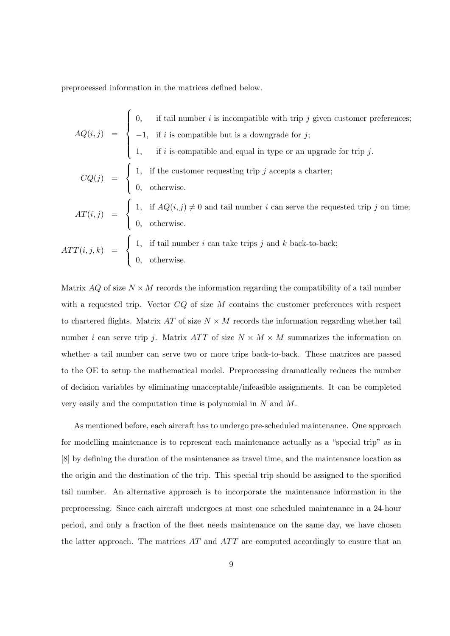preprocessed information in the matrices defined below.

$$
AQ(i,j) = \begin{cases} 0, & \text{if tail number } i \text{ is incompatible with trip } j \text{ given customer preferences;} \\ -1, & \text{if } i \text{ is compatible but is a downgrade for } j; \\ 1, & \text{if } i \text{ is compatible and equal in type or an upgrade for trip } j. \end{cases}
$$

$$
CQ(j) = \begin{cases} 1, & \text{if the customer requesting trip } j \text{ accepts a charter;} \\ 0, & \text{otherwise.} \end{cases}
$$

$$
AT(i,j) = \begin{cases} 1, & \text{if } AQ(i,j) \neq 0 \text{ and tail number } i \text{ can serve the requested trip } j \text{ on time;} \\ 0, & \text{otherwise.} \end{cases}
$$

$$
ATT(i,j,k) = \begin{cases} 1, & \text{if tail number } i \text{ can take trips } j \text{ and } k \text{ back-to-back;} \\ 0, & \text{otherwise.} \end{cases}
$$

Matrix AQ of size  $N \times M$  records the information regarding the compatibility of a tail number with a requested trip. Vector  $CQ$  of size  $M$  contains the customer preferences with respect to chartered flights. Matrix AT of size  $N \times M$  records the information regarding whether tail number *i* can serve trip *j*. Matrix *ATT* of size  $N \times M \times M$  summarizes the information on whether a tail number can serve two or more trips back-to-back. These matrices are passed to the OE to setup the mathematical model. Preprocessing dramatically reduces the number of decision variables by eliminating unacceptable/infeasible assignments. It can be completed very easily and the computation time is polynomial in N and M.

As mentioned before, each aircraft has to undergo pre-scheduled maintenance. One approach for modelling maintenance is to represent each maintenance actually as a "special trip" as in [8] by defining the duration of the maintenance as travel time, and the maintenance location as the origin and the destination of the trip. This special trip should be assigned to the specified tail number. An alternative approach is to incorporate the maintenance information in the preprocessing. Since each aircraft undergoes at most one scheduled maintenance in a 24-hour period, and only a fraction of the fleet needs maintenance on the same day, we have chosen the latter approach. The matrices  $AT$  and  $ATT$  are computed accordingly to ensure that an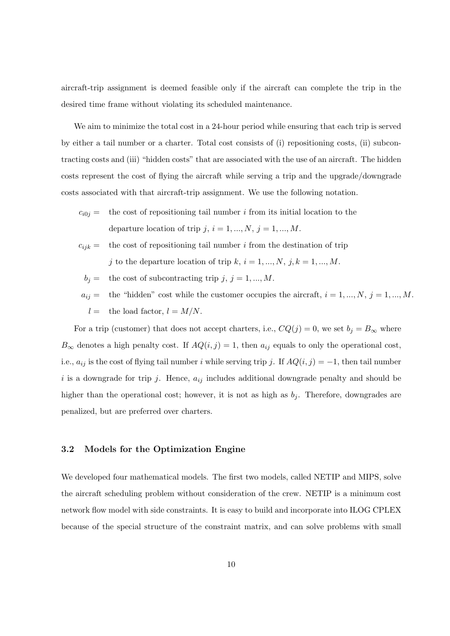aircraft-trip assignment is deemed feasible only if the aircraft can complete the trip in the desired time frame without violating its scheduled maintenance.

We aim to minimize the total cost in a 24-hour period while ensuring that each trip is served by either a tail number or a charter. Total cost consists of (i) repositioning costs, (ii) subcontracting costs and (iii) "hidden costs" that are associated with the use of an aircraft. The hidden costs represent the cost of flying the aircraft while serving a trip and the upgrade/downgrade costs associated with that aircraft-trip assignment. We use the following notation.

- $c_{i0j}$  = the cost of repositioning tail number i from its initial location to the departure location of trip j,  $i = 1, ..., N$ ,  $j = 1, ..., M$ .
- $c_{ijk}$  = the cost of repositioning tail number i from the destination of trip j to the departure location of trip k,  $i = 1, ..., N, j, k = 1, ..., M$ .
	- $b_j =$  the cost of subcontracting trip j,  $j = 1, ..., M$ .

 $a_{ij} =$  the "hidden" cost while the customer occupies the aircraft,  $i = 1, ..., N$ ,  $j = 1, ..., M$ .  $l =$  the load factor,  $l = M/N$ .

For a trip (customer) that does not accept charters, i.e.,  $CQ(j) = 0$ , we set  $b_j = B_{\infty}$  where  $B_{\infty}$  denotes a high penalty cost. If  $AQ(i, j) = 1$ , then  $a_{ij}$  equals to only the operational cost, i.e.,  $a_{ij}$  is the cost of flying tail number i while serving trip j. If  $AQ(i, j) = -1$ , then tail number i is a downgrade for trip j. Hence,  $a_{ij}$  includes additional downgrade penalty and should be higher than the operational cost; however, it is not as high as  $b<sub>i</sub>$ . Therefore, downgrades are penalized, but are preferred over charters.

#### 3.2 Models for the Optimization Engine

We developed four mathematical models. The first two models, called NETIP and MIPS, solve the aircraft scheduling problem without consideration of the crew. NETIP is a minimum cost network flow model with side constraints. It is easy to build and incorporate into ILOG CPLEX because of the special structure of the constraint matrix, and can solve problems with small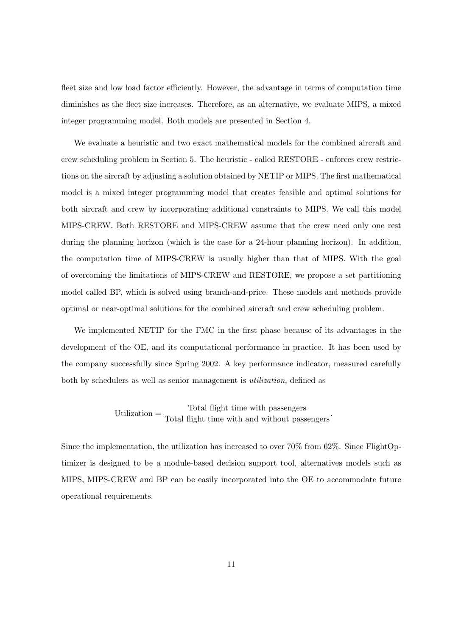fleet size and low load factor efficiently. However, the advantage in terms of computation time diminishes as the fleet size increases. Therefore, as an alternative, we evaluate MIPS, a mixed integer programming model. Both models are presented in Section 4.

We evaluate a heuristic and two exact mathematical models for the combined aircraft and crew scheduling problem in Section 5. The heuristic - called RESTORE - enforces crew restrictions on the aircraft by adjusting a solution obtained by NETIP or MIPS. The first mathematical model is a mixed integer programming model that creates feasible and optimal solutions for both aircraft and crew by incorporating additional constraints to MIPS. We call this model MIPS-CREW. Both RESTORE and MIPS-CREW assume that the crew need only one rest during the planning horizon (which is the case for a 24-hour planning horizon). In addition, the computation time of MIPS-CREW is usually higher than that of MIPS. With the goal of overcoming the limitations of MIPS-CREW and RESTORE, we propose a set partitioning model called BP, which is solved using branch-and-price. These models and methods provide optimal or near-optimal solutions for the combined aircraft and crew scheduling problem.

We implemented NETIP for the FMC in the first phase because of its advantages in the development of the OE, and its computational performance in practice. It has been used by the company successfully since Spring 2002. A key performance indicator, measured carefully both by schedulers as well as senior management is utilization, defined as

# Utilization  $=$   $\frac{\text{Total flight time with passengers}}{\text{Total flight time with and without passengers}}$ .

Since the implementation, the utilization has increased to over 70% from 62%. Since FlightOptimizer is designed to be a module-based decision support tool, alternatives models such as MIPS, MIPS-CREW and BP can be easily incorporated into the OE to accommodate future operational requirements.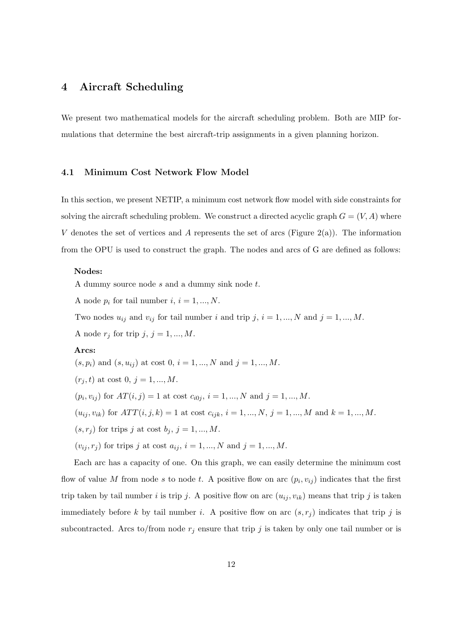# 4 Aircraft Scheduling

We present two mathematical models for the aircraft scheduling problem. Both are MIP formulations that determine the best aircraft-trip assignments in a given planning horizon.

#### 4.1 Minimum Cost Network Flow Model

In this section, we present NETIP, a minimum cost network flow model with side constraints for solving the aircraft scheduling problem. We construct a directed acyclic graph  $G = (V, A)$  where V denotes the set of vertices and A represents the set of arcs (Figure 2(a)). The information from the OPU is used to construct the graph. The nodes and arcs of G are defined as follows:

#### Nodes:

A dummy source node s and a dummy sink node t.

A node  $p_i$  for tail number  $i, i = 1, ..., N$ .

Two nodes  $u_{ij}$  and  $v_{ij}$  for tail number i and trip j,  $i = 1, ..., N$  and  $j = 1, ..., M$ .

A node  $r_j$  for trip  $j, j = 1, ..., M$ .

#### Arcs:

 $(s, p_i)$  and  $(s, u_{ij})$  at cost  $0, i = 1, ..., N$  and  $j = 1, ..., M$ .  $(r_i, t)$  at cost 0,  $j = 1, ..., M$ .  $(p_i, v_{ij})$  for  $AT(i, j) = 1$  at cost  $c_{i0j}, i = 1, ..., N$  and  $j = 1, ..., M$ .  $(u_{ij}, v_{ik})$  for  $ATT(i, j, k) = 1$  at cost  $c_{ijk}$ ,  $i = 1, ..., N$ ,  $j = 1, ..., M$  and  $k = 1, ..., M$ .  $(s, r_j)$  for trips j at cost  $b_j$ ,  $j = 1, ..., M$ .  $(v_{ij}, r_j)$  for trips j at cost  $a_{ij}$ ,  $i = 1, ..., N$  and  $j = 1, ..., M$ .

Each arc has a capacity of one. On this graph, we can easily determine the minimum cost flow of value M from node s to node t. A positive flow on arc  $(p_i, v_{ij})$  indicates that the first trip taken by tail number i is trip j. A positive flow on arc  $(u_{ij}, v_{ik})$  means that trip j is taken immediately before k by tail number i. A positive flow on arc  $(s, r_j)$  indicates that trip j is subcontracted. Arcs to/from node  $r_j$  ensure that trip j is taken by only one tail number or is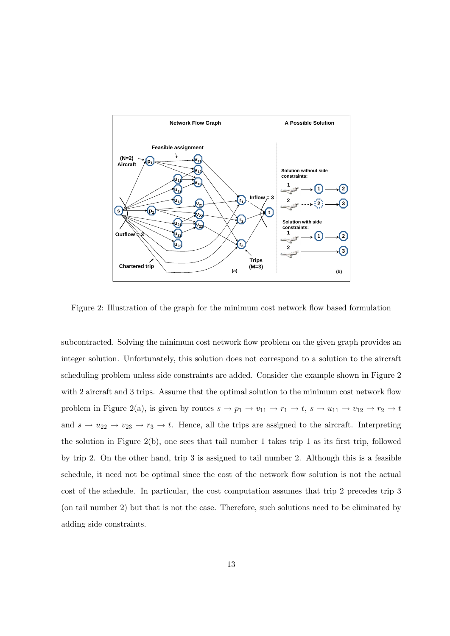

Figure 2: Illustration of the graph for the minimum cost network flow based formulation

subcontracted. Solving the minimum cost network flow problem on the given graph provides an integer solution. Unfortunately, this solution does not correspond to a solution to the aircraft scheduling problem unless side constraints are added. Consider the example shown in Figure 2 with 2 aircraft and 3 trips. Assume that the optimal solution to the minimum cost network flow problem in Figure 2(a), is given by routes  $s \to p_1 \to v_{11} \to r_1 \to t$ ,  $s \to u_{11} \to v_{12} \to r_2 \to t$ and  $s \to u_{22} \to v_{23} \to r_3 \to t$ . Hence, all the trips are assigned to the aircraft. Interpreting the solution in Figure 2(b), one sees that tail number 1 takes trip 1 as its first trip, followed by trip 2. On the other hand, trip 3 is assigned to tail number 2. Although this is a feasible schedule, it need not be optimal since the cost of the network flow solution is not the actual cost of the schedule. In particular, the cost computation assumes that trip 2 precedes trip 3 (on tail number 2) but that is not the case. Therefore, such solutions need to be eliminated by adding side constraints.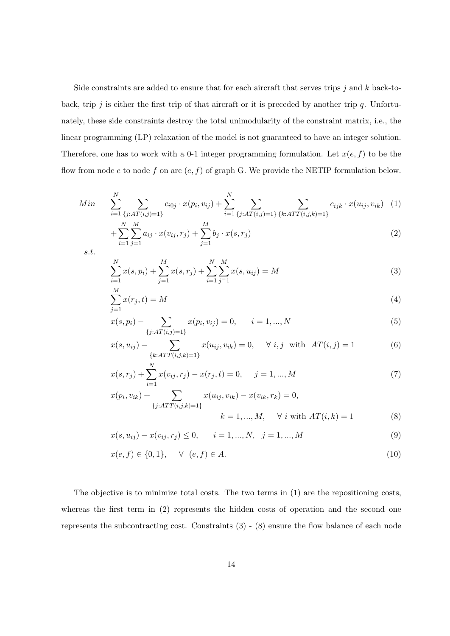Side constraints are added to ensure that for each aircraft that serves trips  $j$  and  $k$  back-toback, trip j is either the first trip of that aircraft or it is preceded by another trip  $q$ . Unfortunately, these side constraints destroy the total unimodularity of the constraint matrix, i.e., the linear programming (LP) relaxation of the model is not guaranteed to have an integer solution. Therefore, one has to work with a 0-1 integer programming formulation. Let  $x(e, f)$  to be the flow from node  $e$  to node  $f$  on arc  $(e, f)$  of graph G. We provide the NETIP formulation below.

Min 
$$
\sum_{i=1}^{N} \sum_{\{j: AT(i,j)=1\}} c_{i0j} \cdot x(p_i, v_{ij}) + \sum_{i=1}^{N} \sum_{\{j: AT(i,j)=1\}} \sum_{\{k:ATT(i,j,k)=1\}} c_{ijk} \cdot x(u_{ij}, v_{ik})
$$
 (1)

$$
+\sum_{i=1}^{N}\sum_{j=1}^{M}a_{ij}\cdot x(v_{ij},r_j)+\sum_{j=1}^{M}b_j\cdot x(s,r_j)
$$
\n(2)

s.t.

$$
\sum_{i=1}^{N} x(s, p_i) + \sum_{j=1}^{M} x(s, r_j) + \sum_{i=1}^{N} \sum_{j=1}^{M} x(s, u_{ij}) = M
$$
\n(3)

$$
\sum_{j=1}^{M} x(r_j, t) = M \tag{4}
$$

$$
x(s, p_i) - \sum_{\{j: AT(i,j)=1\}} x(p_i, v_{ij}) = 0, \qquad i = 1, ..., N
$$
\n(5)

$$
x(s, u_{ij}) - \sum_{\{k:ATT(i,j,k)=1\}} x(u_{ij}, v_{ik}) = 0, \quad \forall i, j \text{ with } AT(i,j) = 1
$$
 (6)

$$
x(s,r_j) + \sum_{i=1}^{N} x(v_{ij},r_j) - x(r_j,t) = 0, \quad j = 1,...,M
$$
  
\n
$$
x(p_i, v_{ik}) + \sum_{i=1}^{N} x(u_{ij}, v_{ik}) - x(v_{ik}, r_k) = 0,
$$
\n(7)

$$
k = 1, ..., M,
$$
  $\forall i \text{ with } AT(i, k) = 1$  (8)

$$
x(s, u_{ij}) - x(v_{ij}, r_j) \le 0, \qquad i = 1, ..., N, \quad j = 1, ..., M
$$
\n(9)

$$
x(e, f) \in \{0, 1\}, \quad \forall \ (e, f) \in A.
$$
 (10)

The objective is to minimize total costs. The two terms in (1) are the repositioning costs, whereas the first term in (2) represents the hidden costs of operation and the second one represents the subcontracting cost. Constraints (3) - (8) ensure the flow balance of each node

 ${j:ATT(i,j,k)=1}$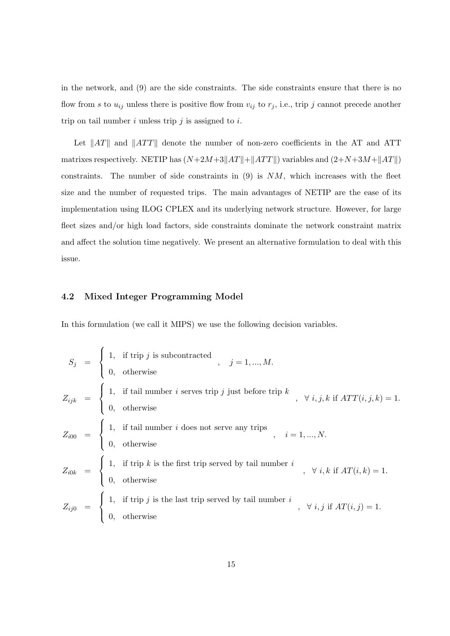in the network, and (9) are the side constraints. The side constraints ensure that there is no flow from s to  $u_{ij}$  unless there is positive flow from  $v_{ij}$  to  $r_j$ , i.e., trip j cannot precede another trip on tail number  $i$  unless trip  $j$  is assigned to  $i$ .

Let  $||AT||$  and  $||ATT||$  denote the number of non-zero coefficients in the AT and ATT matrixes respectively. NETIP has  $(N+2M+3\|AT\|+\|ATT\|)$  variables and  $(2+N+3M+\|AT\|)$ constraints. The number of side constraints in  $(9)$  is  $NM$ , which increases with the fleet size and the number of requested trips. The main advantages of NETIP are the ease of its implementation using ILOG CPLEX and its underlying network structure. However, for large fleet sizes and/or high load factors, side constraints dominate the network constraint matrix and affect the solution time negatively. We present an alternative formulation to deal with this issue.

#### 4.2 Mixed Integer Programming Model

In this formulation (we call it MIPS) we use the following decision variables.

$$
S_j = \begin{cases} 1, & \text{if trip } j \text{ is subcontracted } \\ 0, & \text{otherwise} \end{cases}, j = 1, ..., M.
$$
  
\n
$$
Z_{ijk} = \begin{cases} 1, & \text{if tail number } i \text{ serves trip } j \text{ just before trip } k \\ 0, & \text{otherwise} \end{cases}, \forall i, j, k \text{ if } ATT(i, j, k) = 1.
$$
  
\n
$$
Z_{i00} = \begin{cases} 1, & \text{if tail number } i \text{ does not serve any trips } \\ 0, & \text{otherwise} \end{cases}, i = 1, ..., N.
$$
  
\n
$$
Z_{i0k} = \begin{cases} 1, & \text{if trip } k \text{ is the first trip served by tail number } i \\ 0, & \text{otherwise} \end{cases}, \forall i, k \text{ if } AT(i, k) = 1.
$$
  
\n
$$
Z_{ij0} = \begin{cases} 1, & \text{if trip } j \text{ is the last trip served by tail number } i \\ 0, & \text{otherwise} \end{cases}, \forall i, j \text{ if } AT(i, j) = 1.
$$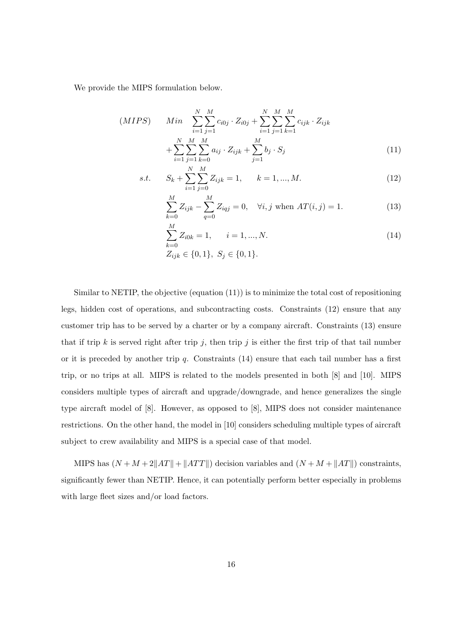We provide the MIPS formulation below.

$$
(MIPS) \quad Min \quad \sum_{i=1}^{N} \sum_{j=1}^{M} c_{i0j} \cdot Z_{i0j} + \sum_{i=1}^{N} \sum_{j=1}^{M} \sum_{k=1}^{M} c_{ijk} \cdot Z_{ijk} + \sum_{i=1}^{N} \sum_{j=1}^{M} \sum_{k=0}^{M} a_{ij} \cdot Z_{ijk} + \sum_{j=1}^{M} b_j \cdot S_j \tag{11}
$$

s.t. 
$$
S_k + \sum_{i=1}^{N} \sum_{j=0}^{M} Z_{ijk} = 1, \qquad k = 1, ..., M.
$$
 (12)

$$
\sum_{k=0}^{M} Z_{ijk} - \sum_{q=0}^{M} Z_{iqj} = 0, \quad \forall i, j \text{ when } AT(i, j) = 1.
$$
 (13)

$$
\sum_{k=0}^{M} Z_{i0k} = 1, \qquad i = 1, ..., N.
$$
\n
$$
Z_{ijk} \in \{0, 1\}, \ S_j \in \{0, 1\}.
$$
\n(14)

Similar to NETIP, the objective (equation  $(11)$ ) is to minimize the total cost of repositioning legs, hidden cost of operations, and subcontracting costs. Constraints (12) ensure that any customer trip has to be served by a charter or by a company aircraft. Constraints (13) ensure that if trip k is served right after trip j, then trip j is either the first trip of that tail number or it is preceded by another trip  $q$ . Constraints  $(14)$  ensure that each tail number has a first trip, or no trips at all. MIPS is related to the models presented in both [8] and [10]. MIPS considers multiple types of aircraft and upgrade/downgrade, and hence generalizes the single type aircraft model of [8]. However, as opposed to [8], MIPS does not consider maintenance restrictions. On the other hand, the model in [10] considers scheduling multiple types of aircraft subject to crew availability and MIPS is a special case of that model.

MIPS has  $(N + M + 2||AT|| + ||ATT||)$  decision variables and  $(N + M + ||AT||)$  constraints, significantly fewer than NETIP. Hence, it can potentially perform better especially in problems with large fleet sizes and/or load factors.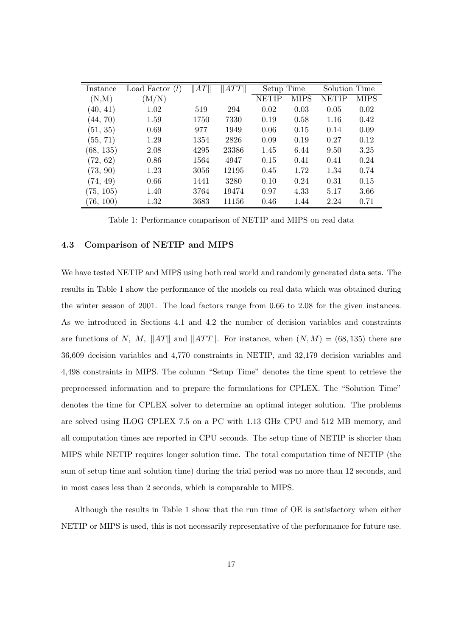| Instance  | Load Factor $(l)$ | $\ AT\ $ | ATT   | Setup Time |      | Solution Time |      |
|-----------|-------------------|----------|-------|------------|------|---------------|------|
| (N,M)     | $\rm (M/N)$       |          |       | NETIP      | MIPS | NETIP         | MIPS |
| (40, 41)  | 1.02              | 519      | 294   | 0.02       | 0.03 | 0.05          | 0.02 |
| (44, 70)  | 1.59              | 1750     | 7330  | 0.19       | 0.58 | 1.16          | 0.42 |
| (51, 35)  | 0.69              | 977      | 1949  | 0.06       | 0.15 | 0.14          | 0.09 |
| (55, 71)  | 1.29              | 1354     | 2826  | 0.09       | 0.19 | 0.27          | 0.12 |
| (68, 135) | 2.08              | 4295     | 23386 | 1.45       | 6.44 | 9.50          | 3.25 |
| (72, 62)  | 0.86              | 1564     | 4947  | 0.15       | 0.41 | 0.41          | 0.24 |
| (73, 90)  | 1.23              | 3056     | 12195 | 0.45       | 1.72 | 1.34          | 0.74 |
| (74, 49)  | 0.66              | 1441     | 3280  | 0.10       | 0.24 | 0.31          | 0.15 |
| (75, 105) | 1.40              | 3764     | 19474 | 0.97       | 4.33 | 5.17          | 3.66 |
| (76, 100) | 1.32              | 3683     | 11156 | 0.46       | 1.44 | 2.24          | 0.71 |

Table 1: Performance comparison of NETIP and MIPS on real data

#### 4.3 Comparison of NETIP and MIPS

We have tested NETIP and MIPS using both real world and randomly generated data sets. The results in Table 1 show the performance of the models on real data which was obtained during the winter season of 2001. The load factors range from 0.66 to 2.08 for the given instances. As we introduced in Sections 4.1 and 4.2 the number of decision variables and constraints are functions of N, M,  $||AT||$  and  $||ATT||$ . For instance, when  $(N, M) = (68, 135)$  there are 36,609 decision variables and 4,770 constraints in NETIP, and 32,179 decision variables and 4,498 constraints in MIPS. The column "Setup Time" denotes the time spent to retrieve the preprocessed information and to prepare the formulations for CPLEX. The "Solution Time" denotes the time for CPLEX solver to determine an optimal integer solution. The problems are solved using ILOG CPLEX 7.5 on a PC with 1.13 GHz CPU and 512 MB memory, and all computation times are reported in CPU seconds. The setup time of NETIP is shorter than MIPS while NETIP requires longer solution time. The total computation time of NETIP (the sum of setup time and solution time) during the trial period was no more than 12 seconds, and in most cases less than 2 seconds, which is comparable to MIPS.

Although the results in Table 1 show that the run time of OE is satisfactory when either NETIP or MIPS is used, this is not necessarily representative of the performance for future use.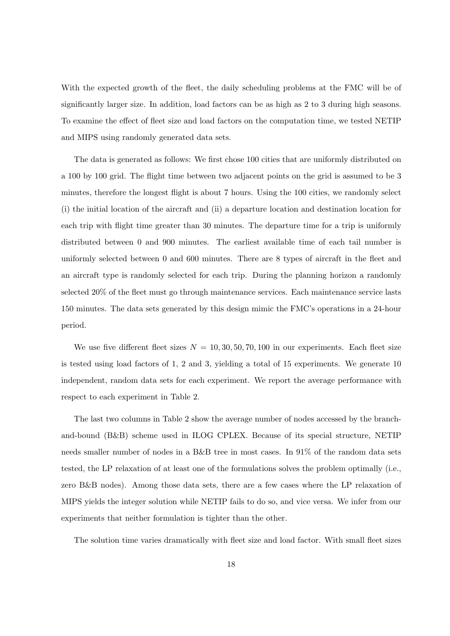With the expected growth of the fleet, the daily scheduling problems at the FMC will be of significantly larger size. In addition, load factors can be as high as 2 to 3 during high seasons. To examine the effect of fleet size and load factors on the computation time, we tested NETIP and MIPS using randomly generated data sets.

The data is generated as follows: We first chose 100 cities that are uniformly distributed on a 100 by 100 grid. The flight time between two adjacent points on the grid is assumed to be 3 minutes, therefore the longest flight is about 7 hours. Using the 100 cities, we randomly select (i) the initial location of the aircraft and (ii) a departure location and destination location for each trip with flight time greater than 30 minutes. The departure time for a trip is uniformly distributed between 0 and 900 minutes. The earliest available time of each tail number is uniformly selected between 0 and 600 minutes. There are 8 types of aircraft in the fleet and an aircraft type is randomly selected for each trip. During the planning horizon a randomly selected 20% of the fleet must go through maintenance services. Each maintenance service lasts 150 minutes. The data sets generated by this design mimic the FMC's operations in a 24-hour period.

We use five different fleet sizes  $N = 10, 30, 50, 70, 100$  in our experiments. Each fleet size is tested using load factors of 1, 2 and 3, yielding a total of 15 experiments. We generate 10 independent, random data sets for each experiment. We report the average performance with respect to each experiment in Table 2.

The last two columns in Table 2 show the average number of nodes accessed by the branchand-bound (B&B) scheme used in ILOG CPLEX. Because of its special structure, NETIP needs smaller number of nodes in a B&B tree in most cases. In 91% of the random data sets tested, the LP relaxation of at least one of the formulations solves the problem optimally (i.e., zero B&B nodes). Among those data sets, there are a few cases where the LP relaxation of MIPS yields the integer solution while NETIP fails to do so, and vice versa. We infer from our experiments that neither formulation is tighter than the other.

The solution time varies dramatically with fleet size and load factor. With small fleet sizes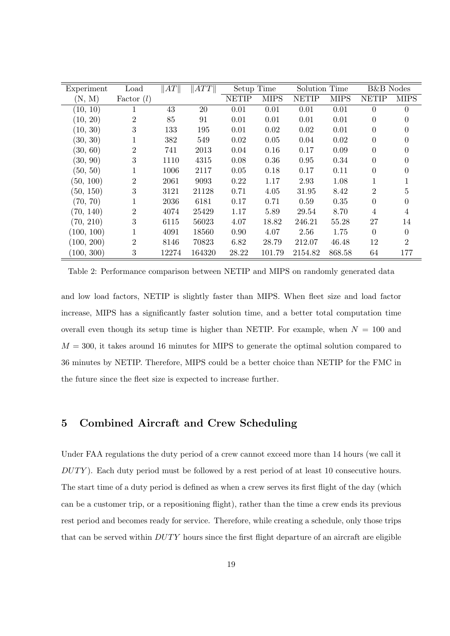| Experiment | Load           | $\ AT\ $ | $\ ATT\ $ | Setup Time   |             | Solution Time |             | <b>B&amp;B</b> Nodes |                |
|------------|----------------|----------|-----------|--------------|-------------|---------------|-------------|----------------------|----------------|
| (N, M)     | Factor $(l)$   |          |           | <b>NETIP</b> | <b>MIPS</b> | <b>NETIP</b>  | <b>MIPS</b> | <b>NETIP</b>         | <b>MIPS</b>    |
| (10, 10)   |                | 43       | 20        | 0.01         | 0.01        | 0.01          | 0.01        | $\Omega$             | $\theta$       |
| (10, 20)   | 2              | 85       | 91        | 0.01         | 0.01        | 0.01          | 0.01        | $\theta$             | 0              |
| (10, 30)   | 3              | 133      | 195       | 0.01         | 0.02        | 0.02          | 0.01        | $\Omega$             | 0              |
| (30, 30)   |                | 382      | 549       | 0.02         | 0.05        | 0.04          | 0.02        | $\Omega$             |                |
| (30, 60)   | $\overline{2}$ | 741      | 2013      | 0.04         | 0.16        | 0.17          | 0.09        | $\Omega$             | 0              |
| (30, 90)   | 3              | 1110     | 4315      | 0.08         | 0.36        | 0.95          | 0.34        | 0                    | 0              |
| (50, 50)   |                | 1006     | 2117      | 0.05         | 0.18        | 0.17          | 0.11        | 0                    | 0              |
| (50, 100)  | 2              | 2061     | 9093      | 0.22         | 1.17        | 2.93          | 1.08        |                      |                |
| (50, 150)  | 3              | 3121     | 21128     | 0.71         | 4.05        | 31.95         | 8.42        | $\overline{2}$       | 5              |
| (70, 70)   |                | 2036     | 6181      | 0.17         | 0.71        | 0.59          | 0.35        | $\Omega$             | $\theta$       |
| (70, 140)  | $\overline{2}$ | 4074     | 25429     | 1.17         | 5.89        | 29.54         | 8.70        | 4                    | 4              |
| (70, 210)  | 3              | 6115     | 56023     | 4.07         | 18.82       | 246.21        | 55.28       | 27                   | 14             |
| (100, 100) |                | 4091     | 18560     | 0.90         | 4.07        | 2.56          | 1.75        | $\Omega$             | $\Omega$       |
| (100, 200) | $\overline{2}$ | 8146     | 70823     | 6.82         | 28.79       | 212.07        | 46.48       | 12                   | $\overline{2}$ |
| (100, 300) | 3              | 12274    | 164320    | 28.22        | 101.79      | 2154.82       | 868.58      | 64                   | 177            |

Table 2: Performance comparison between NETIP and MIPS on randomly generated data

and low load factors, NETIP is slightly faster than MIPS. When fleet size and load factor increase, MIPS has a significantly faster solution time, and a better total computation time overall even though its setup time is higher than NETIP. For example, when  $N = 100$  and  $M = 300$ , it takes around 16 minutes for MIPS to generate the optimal solution compared to 36 minutes by NETIP. Therefore, MIPS could be a better choice than NETIP for the FMC in the future since the fleet size is expected to increase further.

### 5 Combined Aircraft and Crew Scheduling

Under FAA regulations the duty period of a crew cannot exceed more than 14 hours (we call it  $DUTY$ ). Each duty period must be followed by a rest period of at least 10 consecutive hours. The start time of a duty period is defined as when a crew serves its first flight of the day (which can be a customer trip, or a repositioning flight), rather than the time a crew ends its previous rest period and becomes ready for service. Therefore, while creating a schedule, only those trips that can be served within  $DUTY$  hours since the first flight departure of an aircraft are eligible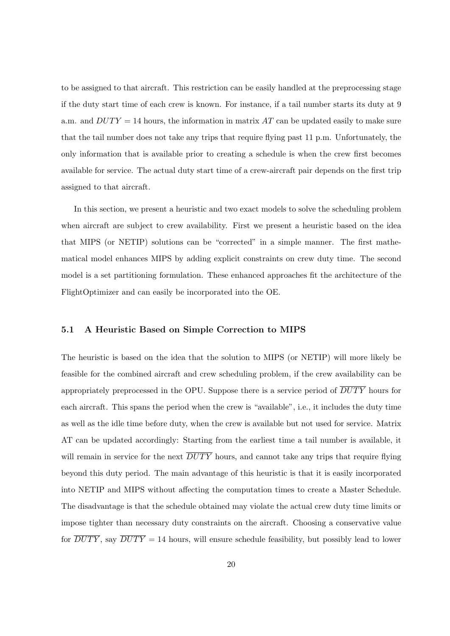to be assigned to that aircraft. This restriction can be easily handled at the preprocessing stage if the duty start time of each crew is known. For instance, if a tail number starts its duty at 9 a.m. and  $DUTY = 14$  hours, the information in matrix AT can be updated easily to make sure that the tail number does not take any trips that require flying past 11 p.m. Unfortunately, the only information that is available prior to creating a schedule is when the crew first becomes available for service. The actual duty start time of a crew-aircraft pair depends on the first trip assigned to that aircraft.

In this section, we present a heuristic and two exact models to solve the scheduling problem when aircraft are subject to crew availability. First we present a heuristic based on the idea that MIPS (or NETIP) solutions can be "corrected" in a simple manner. The first mathematical model enhances MIPS by adding explicit constraints on crew duty time. The second model is a set partitioning formulation. These enhanced approaches fit the architecture of the FlightOptimizer and can easily be incorporated into the OE.

#### 5.1 A Heuristic Based on Simple Correction to MIPS

The heuristic is based on the idea that the solution to MIPS (or NETIP) will more likely be feasible for the combined aircraft and crew scheduling problem, if the crew availability can be appropriately preprocessed in the OPU. Suppose there is a service period of  $\overline{DUTY}$  hours for each aircraft. This spans the period when the crew is "available", i.e., it includes the duty time as well as the idle time before duty, when the crew is available but not used for service. Matrix AT can be updated accordingly: Starting from the earliest time a tail number is available, it will remain in service for the next  $\overline{DUTY}$  hours, and cannot take any trips that require flying beyond this duty period. The main advantage of this heuristic is that it is easily incorporated into NETIP and MIPS without affecting the computation times to create a Master Schedule. The disadvantage is that the schedule obtained may violate the actual crew duty time limits or impose tighter than necessary duty constraints on the aircraft. Choosing a conservative value for  $\overline{DUTY}$ , say  $\overline{DUTY} = 14$  hours, will ensure schedule feasibility, but possibly lead to lower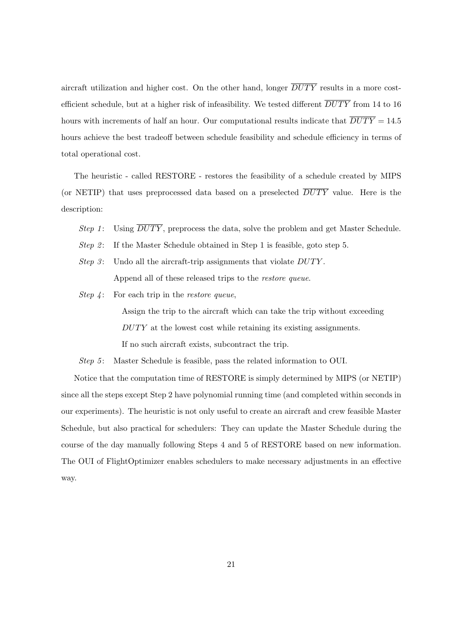aircraft utilization and higher cost. On the other hand, longer  $\overline{DUTY}$  results in a more costefficient schedule, but at a higher risk of infeasibility. We tested different  $\overline{DUTY}$  from 14 to 16 hours with increments of half an hour. Our computational results indicate that  $\overline{DUTY} = 14.5$ hours achieve the best tradeoff between schedule feasibility and schedule efficiency in terms of total operational cost.

The heuristic - called RESTORE - restores the feasibility of a schedule created by MIPS (or NETIP) that uses preprocessed data based on a preselected  $\overline{DUTY}$  value. Here is the description:

- Step 1: Using  $\overline{DUTY}$ , preprocess the data, solve the problem and get Master Schedule.
- Step 2: If the Master Schedule obtained in Step 1 is feasible, goto step 5.
- Step 3: Undo all the aircraft-trip assignments that violate  $DUTY$ . Append all of these released trips to the restore queue.
- Step  $\lambda$ : For each trip in the *restore queue*,

Assign the trip to the aircraft which can take the trip without exceeding DUTY at the lowest cost while retaining its existing assignments. If no such aircraft exists, subcontract the trip.

Step 5: Master Schedule is feasible, pass the related information to OUI.

Notice that the computation time of RESTORE is simply determined by MIPS (or NETIP) since all the steps except Step 2 have polynomial running time (and completed within seconds in our experiments). The heuristic is not only useful to create an aircraft and crew feasible Master Schedule, but also practical for schedulers: They can update the Master Schedule during the course of the day manually following Steps 4 and 5 of RESTORE based on new information. The OUI of FlightOptimizer enables schedulers to make necessary adjustments in an effective way.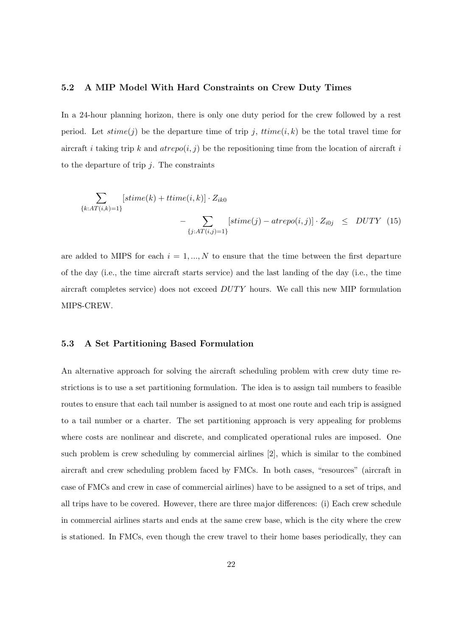#### 5.2 A MIP Model With Hard Constraints on Crew Duty Times

In a 24-hour planning horizon, there is only one duty period for the crew followed by a rest period. Let  $\text{stime}(j)$  be the departure time of trip j,  $\text{trime}(i, k)$  be the total travel time for aircraft i taking trip k and  $arepo(i, j)$  be the repositioning time from the location of aircraft i to the departure of trip  $j$ . The constraints

$$
\sum_{\{k: AT(i,k)=1\}} [stime(k) + time(i,k)] \cdot Z_{ik0}
$$
\n
$$
- \sum_{\{j: AT(i,j)=1\}} [stime(j) - atrepo(i,j)] \cdot Z_{i0j} \le DUTY \quad (15)
$$

are added to MIPS for each  $i = 1, ..., N$  to ensure that the time between the first departure of the day (i.e., the time aircraft starts service) and the last landing of the day (i.e., the time aircraft completes service) does not exceed  $DUTY$  hours. We call this new MIP formulation MIPS-CREW.

#### 5.3 A Set Partitioning Based Formulation

An alternative approach for solving the aircraft scheduling problem with crew duty time restrictions is to use a set partitioning formulation. The idea is to assign tail numbers to feasible routes to ensure that each tail number is assigned to at most one route and each trip is assigned to a tail number or a charter. The set partitioning approach is very appealing for problems where costs are nonlinear and discrete, and complicated operational rules are imposed. One such problem is crew scheduling by commercial airlines [2], which is similar to the combined aircraft and crew scheduling problem faced by FMCs. In both cases, "resources" (aircraft in case of FMCs and crew in case of commercial airlines) have to be assigned to a set of trips, and all trips have to be covered. However, there are three major differences: (i) Each crew schedule in commercial airlines starts and ends at the same crew base, which is the city where the crew is stationed. In FMCs, even though the crew travel to their home bases periodically, they can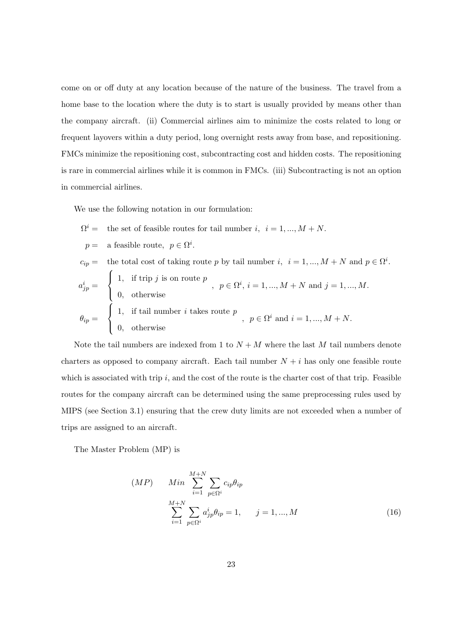come on or off duty at any location because of the nature of the business. The travel from a home base to the location where the duty is to start is usually provided by means other than the company aircraft. (ii) Commercial airlines aim to minimize the costs related to long or frequent layovers within a duty period, long overnight rests away from base, and repositioning. FMCs minimize the repositioning cost, subcontracting cost and hidden costs. The repositioning is rare in commercial airlines while it is common in FMCs. (iii) Subcontracting is not an option in commercial airlines.

We use the following notation in our formulation:

$$
\begin{aligned}\n\Omega^i &= \text{ the set of feasible routes for tail number } i, \ i = 1, ..., M+N. \\
p &= \text{ a feasible route}, \ p \in \Omega^i. \\
c_{ip} &= \text{ the total cost of taking route } p \text{ by tail number } i, \ i = 1, ..., M+N \text{ and } p \in \Omega^i. \\
a^i_{jp} &= \begin{cases}\n1, & \text{if trip } j \text{ is on route } p \\
0, & \text{otherwise}\n\end{cases}, \ p \in \Omega^i, \ i = 1, ..., M+N \text{ and } j = 1, ..., M. \\
0, & \text{otherwise}\n\end{aligned}
$$
\n
$$
\theta_{ip} = \begin{cases}\n1, & \text{if tail number } i \text{ takes route } p \\
1, & \text{otherwise}\n\end{cases}, \ p \in \Omega^i \text{ and } i = 1, ..., M+N.\n\end{cases}
$$

Note the tail numbers are indexed from 1 to  $N + M$  where the last M tail numbers denote charters as opposed to company aircraft. Each tail number  $N + i$  has only one feasible route which is associated with trip  $i$ , and the cost of the route is the charter cost of that trip. Feasible routes for the company aircraft can be determined using the same preprocessing rules used by MIPS (see Section 3.1) ensuring that the crew duty limits are not exceeded when a number of trips are assigned to an aircraft.

The Master Problem (MP) is

$$
(MP) \qquad Min \sum_{i=1}^{M+N} \sum_{p \in \Omega^i} c_{ip} \theta_{ip}
$$

$$
\sum_{i=1}^{M+N} \sum_{p \in \Omega^i} a_{jp}^i \theta_{ip} = 1, \qquad j = 1, ..., M
$$
(16)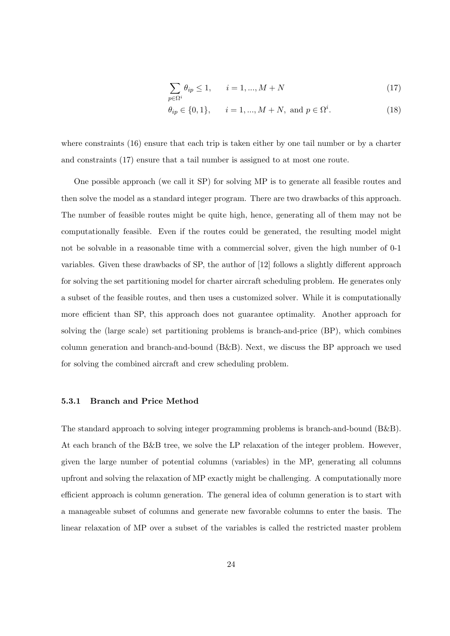$$
\sum_{p \in \Omega^i} \theta_{ip} \le 1, \qquad i = 1, \dots, M + N \tag{17}
$$

$$
\theta_{ip} \in \{0, 1\}, \quad i = 1, ..., M + N, \text{ and } p \in \Omega^i.
$$
\n(18)

where constraints (16) ensure that each trip is taken either by one tail number or by a charter and constraints (17) ensure that a tail number is assigned to at most one route.

One possible approach (we call it SP) for solving MP is to generate all feasible routes and then solve the model as a standard integer program. There are two drawbacks of this approach. The number of feasible routes might be quite high, hence, generating all of them may not be computationally feasible. Even if the routes could be generated, the resulting model might not be solvable in a reasonable time with a commercial solver, given the high number of 0-1 variables. Given these drawbacks of SP, the author of [12] follows a slightly different approach for solving the set partitioning model for charter aircraft scheduling problem. He generates only a subset of the feasible routes, and then uses a customized solver. While it is computationally more efficient than SP, this approach does not guarantee optimality. Another approach for solving the (large scale) set partitioning problems is branch-and-price (BP), which combines column generation and branch-and-bound (B&B). Next, we discuss the BP approach we used for solving the combined aircraft and crew scheduling problem.

#### 5.3.1 Branch and Price Method

The standard approach to solving integer programming problems is branch-and-bound (B&B). At each branch of the B&B tree, we solve the LP relaxation of the integer problem. However, given the large number of potential columns (variables) in the MP, generating all columns upfront and solving the relaxation of MP exactly might be challenging. A computationally more efficient approach is column generation. The general idea of column generation is to start with a manageable subset of columns and generate new favorable columns to enter the basis. The linear relaxation of MP over a subset of the variables is called the restricted master problem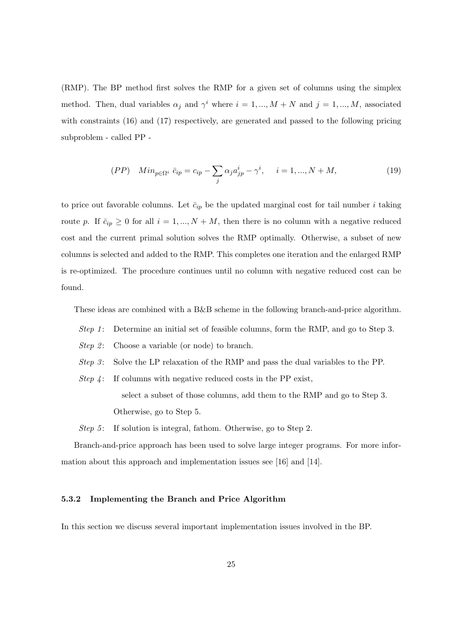(RMP). The BP method first solves the RMP for a given set of columns using the simplex method. Then, dual variables  $\alpha_j$  and  $\gamma^i$  where  $i = 1, ..., M + N$  and  $j = 1, ..., M$ , associated with constraints (16) and (17) respectively, are generated and passed to the following pricing subproblem - called PP -

$$
(PP) \quad Min_{p \in \Omega^i} \ \bar{c}_{ip} = c_{ip} - \sum_j \alpha_j a_{jp}^i - \gamma^i, \quad i = 1, ..., N + M,
$$
\n(19)

to price out favorable columns. Let  $\bar{c}_{ip}$  be the updated marginal cost for tail number i taking route p. If  $\bar{c}_{ip} \geq 0$  for all  $i = 1, ..., N + M$ , then there is no column with a negative reduced cost and the current primal solution solves the RMP optimally. Otherwise, a subset of new columns is selected and added to the RMP. This completes one iteration and the enlarged RMP is re-optimized. The procedure continues until no column with negative reduced cost can be found.

These ideas are combined with a B&B scheme in the following branch-and-price algorithm.

- Step 1: Determine an initial set of feasible columns, form the RMP, and go to Step 3.
- *Step 2*: Choose a variable (or node) to branch.
- Step 3: Solve the LP relaxation of the RMP and pass the dual variables to the PP.
- Step  $\lambda$ : If columns with negative reduced costs in the PP exist, select a subset of those columns, add them to the RMP and go to Step 3. Otherwise, go to Step 5.

Step 5: If solution is integral, fathom. Otherwise, go to Step 2.

Branch-and-price approach has been used to solve large integer programs. For more information about this approach and implementation issues see [16] and [14].

#### 5.3.2 Implementing the Branch and Price Algorithm

In this section we discuss several important implementation issues involved in the BP.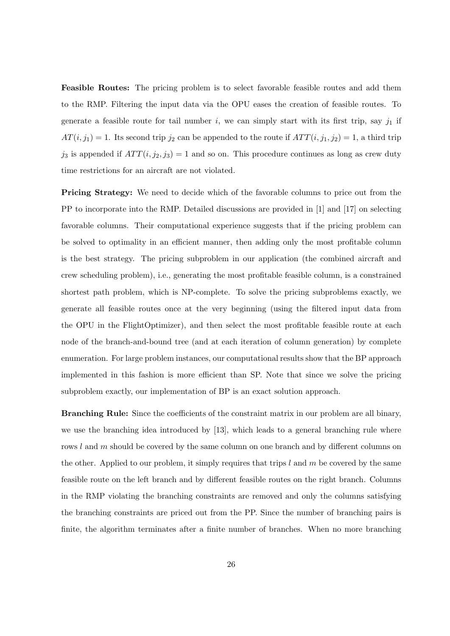Feasible Routes: The pricing problem is to select favorable feasible routes and add them to the RMP. Filtering the input data via the OPU eases the creation of feasible routes. To generate a feasible route for tail number  $i$ , we can simply start with its first trip, say  $j_1$  if  $AT(i, j_1) = 1$ . Its second trip  $j_2$  can be appended to the route if  $ATT(i, j_1, j_2) = 1$ , a third trip  $j_3$  is appended if  $ATT(i, j_2, j_3) = 1$  and so on. This procedure continues as long as crew duty time restrictions for an aircraft are not violated.

**Pricing Strategy:** We need to decide which of the favorable columns to price out from the PP to incorporate into the RMP. Detailed discussions are provided in [1] and [17] on selecting favorable columns. Their computational experience suggests that if the pricing problem can be solved to optimality in an efficient manner, then adding only the most profitable column is the best strategy. The pricing subproblem in our application (the combined aircraft and crew scheduling problem), i.e., generating the most profitable feasible column, is a constrained shortest path problem, which is NP-complete. To solve the pricing subproblems exactly, we generate all feasible routes once at the very beginning (using the filtered input data from the OPU in the FlightOptimizer), and then select the most profitable feasible route at each node of the branch-and-bound tree (and at each iteration of column generation) by complete enumeration. For large problem instances, our computational results show that the BP approach implemented in this fashion is more efficient than SP. Note that since we solve the pricing subproblem exactly, our implementation of BP is an exact solution approach.

Branching Rule: Since the coefficients of the constraint matrix in our problem are all binary, we use the branching idea introduced by [13], which leads to a general branching rule where rows l and m should be covered by the same column on one branch and by different columns on the other. Applied to our problem, it simply requires that trips  $l$  and  $m$  be covered by the same feasible route on the left branch and by different feasible routes on the right branch. Columns in the RMP violating the branching constraints are removed and only the columns satisfying the branching constraints are priced out from the PP. Since the number of branching pairs is finite, the algorithm terminates after a finite number of branches. When no more branching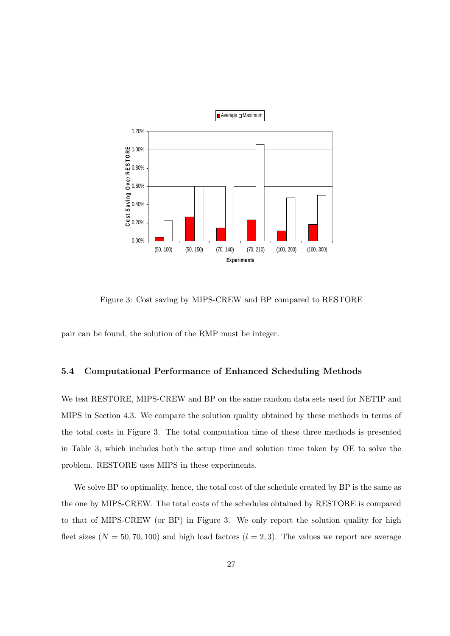

Figure 3: Cost saving by MIPS-CREW and BP compared to RESTORE

pair can be found, the solution of the RMP must be integer.

#### 5.4 Computational Performance of Enhanced Scheduling Methods

We test RESTORE, MIPS-CREW and BP on the same random data sets used for NETIP and MIPS in Section 4.3. We compare the solution quality obtained by these methods in terms of the total costs in Figure 3. The total computation time of these three methods is presented in Table 3, which includes both the setup time and solution time taken by OE to solve the problem. RESTORE uses MIPS in these experiments.

We solve BP to optimality, hence, the total cost of the schedule created by BP is the same as the one by MIPS-CREW. The total costs of the schedules obtained by RESTORE is compared to that of MIPS-CREW (or BP) in Figure 3. We only report the solution quality for high fleet sizes  $(N = 50, 70, 100)$  and high load factors  $(l = 2, 3)$ . The values we report are average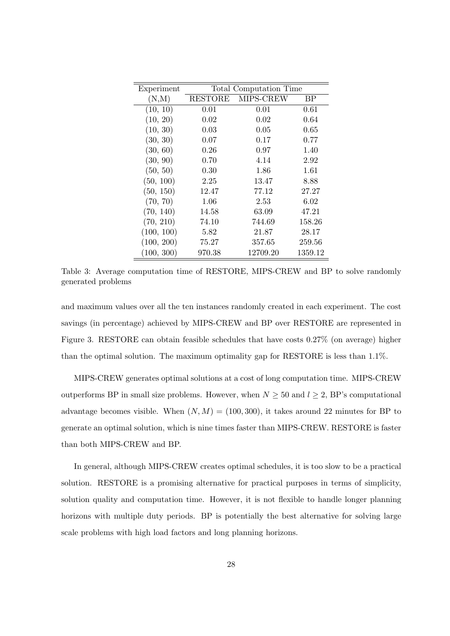| Experiment | Total Computation Time |           |         |  |  |  |
|------------|------------------------|-----------|---------|--|--|--|
| (N,M)      | <b>RESTORE</b>         | MIPS-CREW | BP      |  |  |  |
| (10, 10)   | 0.01                   | 0.01      | 0.61    |  |  |  |
| (10, 20)   | 0.02                   | 0.02      | 0.64    |  |  |  |
| (10, 30)   | 0.03                   | 0.05      | 0.65    |  |  |  |
| (30, 30)   | 0.07                   | 0.17      | 0.77    |  |  |  |
| (30, 60)   | 0.26                   | 0.97      | 1.40    |  |  |  |
| (30, 90)   | 0.70                   | 4.14      | 2.92    |  |  |  |
| (50, 50)   | 0.30                   | 1.86      | 1.61    |  |  |  |
| (50, 100)  | 2.25                   | 13.47     | 8.88    |  |  |  |
| (50, 150)  | 12.47                  | 77.12     | 27.27   |  |  |  |
| (70, 70)   | 1.06                   | 2.53      | 6.02    |  |  |  |
| (70, 140)  | 14.58                  | 63.09     | 47.21   |  |  |  |
| (70, 210)  | 74.10                  | 744.69    | 158.26  |  |  |  |
| (100, 100) | 5.82                   | 21.87     | 28.17   |  |  |  |
| (100, 200) | 75.27                  | 357.65    | 259.56  |  |  |  |
| (100, 300) | 970.38                 | 12709.20  | 1359.12 |  |  |  |

Table 3: Average computation time of RESTORE, MIPS-CREW and BP to solve randomly generated problems

and maximum values over all the ten instances randomly created in each experiment. The cost savings (in percentage) achieved by MIPS-CREW and BP over RESTORE are represented in Figure 3. RESTORE can obtain feasible schedules that have costs 0.27% (on average) higher than the optimal solution. The maximum optimality gap for RESTORE is less than 1.1%.

MIPS-CREW generates optimal solutions at a cost of long computation time. MIPS-CREW outperforms BP in small size problems. However, when  $N \geq 50$  and  $l \geq 2$ , BP's computational advantage becomes visible. When  $(N, M) = (100, 300)$ , it takes around 22 minutes for BP to generate an optimal solution, which is nine times faster than MIPS-CREW. RESTORE is faster than both MIPS-CREW and BP.

In general, although MIPS-CREW creates optimal schedules, it is too slow to be a practical solution. RESTORE is a promising alternative for practical purposes in terms of simplicity, solution quality and computation time. However, it is not flexible to handle longer planning horizons with multiple duty periods. BP is potentially the best alternative for solving large scale problems with high load factors and long planning horizons.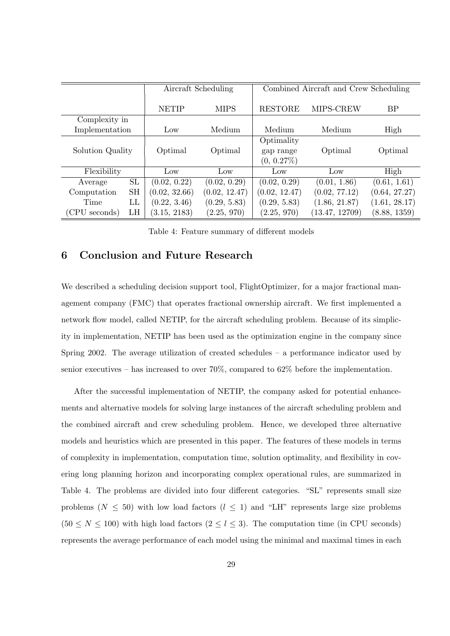|                  |           |                 | Aircraft Scheduling | Combined Aircraft and Crew Scheduling    |                |               |  |
|------------------|-----------|-----------------|---------------------|------------------------------------------|----------------|---------------|--|
|                  |           | <b>NETIP</b>    | <b>MIPS</b>         | <b>RESTORE</b><br>MIPS-CREW              |                | BP            |  |
| Complexity in    |           |                 |                     |                                          |                |               |  |
| Implementation   |           | $_{\text{Low}}$ | Medium              | Medium<br>Medium                         |                | High          |  |
| Solution Quality |           | Optimal         | Optimal             | Optimality<br>gap range<br>$(0, 0.27\%)$ | Optimal        | Optimal       |  |
| Flexibility      |           | $_{\text{Low}}$ | Low                 | Low                                      | Low            | High          |  |
| Average          | SL        | (0.02, 0.22)    | (0.02, 0.29)        | (0.02, 0.29)                             | (0.01, 1.86)   | (0.61, 1.61)  |  |
| Computation      | <b>SH</b> | (0.02, 32.66)   | (0.02, 12.47)       | (0.02, 12.47)                            | (0.02, 77.12)  | (0.64, 27.27) |  |
| Time             | LL        | (0.22, 3.46)    | (0.29, 5.83)        | (0.29, 5.83)                             | (1.86, 21.87)  | (1.61, 28.17) |  |
| (CPU seconds)    | LH        | (3.15, 2183)    | (2.25, 970)         | (2.25, 970)                              | (13.47, 12709) | (8.88, 1359)  |  |

Table 4: Feature summary of different models

### 6 Conclusion and Future Research

We described a scheduling decision support tool, FlightOptimizer, for a major fractional management company (FMC) that operates fractional ownership aircraft. We first implemented a network flow model, called NETIP, for the aircraft scheduling problem. Because of its simplicity in implementation, NETIP has been used as the optimization engine in the company since Spring 2002. The average utilization of created schedules – a performance indicator used by senior executives – has increased to over  $70\%$ , compared to  $62\%$  before the implementation.

After the successful implementation of NETIP, the company asked for potential enhancements and alternative models for solving large instances of the aircraft scheduling problem and the combined aircraft and crew scheduling problem. Hence, we developed three alternative models and heuristics which are presented in this paper. The features of these models in terms of complexity in implementation, computation time, solution optimality, and flexibility in covering long planning horizon and incorporating complex operational rules, are summarized in Table 4. The problems are divided into four different categories. "SL" represents small size problems ( $N \leq 50$ ) with low load factors ( $l \leq 1$ ) and "LH" represents large size problems  $(50 \le N \le 100)$  with high load factors  $(2 \le l \le 3)$ . The computation time (in CPU seconds) represents the average performance of each model using the minimal and maximal times in each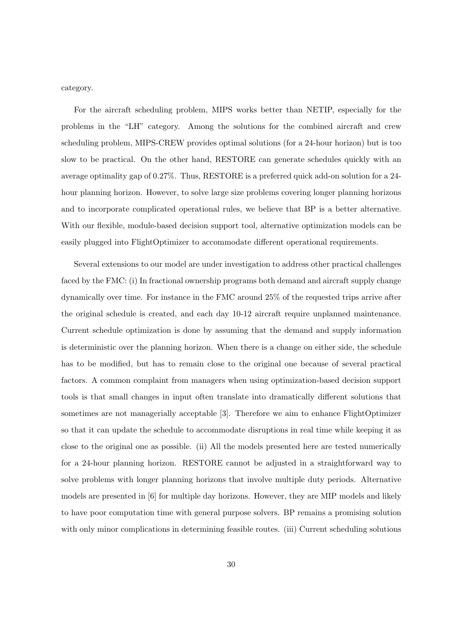category.

For the aircraft scheduling problem, MIPS works better than NETIP, especially for the problems in the "LH" category. Among the solutions for the combined aircraft and crew scheduling problem, MIPS-CREW provides optimal solutions (for a 24-hour horizon) but is too slow to be practical. On the other hand, RESTORE can generate schedules quickly with an average optimality gap of 0.27%. Thus, RESTORE is a preferred quick add-on solution for a 24 hour planning horizon. However, to solve large size problems covering longer planning horizons and to incorporate complicated operational rules, we believe that BP is a better alternative. With our flexible, module-based decision support tool, alternative optimization models can be easily plugged into FlightOptimizer to accommodate different operational requirements.

Several extensions to our model are under investigation to address other practical challenges faced by the FMC: (i) In fractional ownership programs both demand and aircraft supply change dynamically over time. For instance in the FMC around 25% of the requested trips arrive after the original schedule is created, and each day 10-12 aircraft require unplanned maintenance. Current schedule optimization is done by assuming that the demand and supply information is deterministic over the planning horizon. When there is a change on either side, the schedule has to be modified, but has to remain close to the original one because of several practical factors. A common complaint from managers when using optimization-based decision support tools is that small changes in input often translate into dramatically different solutions that sometimes are not managerially acceptable [3]. Therefore we aim to enhance FlightOptimizer so that it can update the schedule to accommodate disruptions in real time while keeping it as close to the original one as possible. (ii) All the models presented here are tested numerically for a 24-hour planning horizon. RESTORE cannot be adjusted in a straightforward way to solve problems with longer planning horizons that involve multiple duty periods. Alternative models are presented in [6] for multiple day horizons. However, they are MIP models and likely to have poor computation time with general purpose solvers. BP remains a promising solution with only minor complications in determining feasible routes. (iii) Current scheduling solutions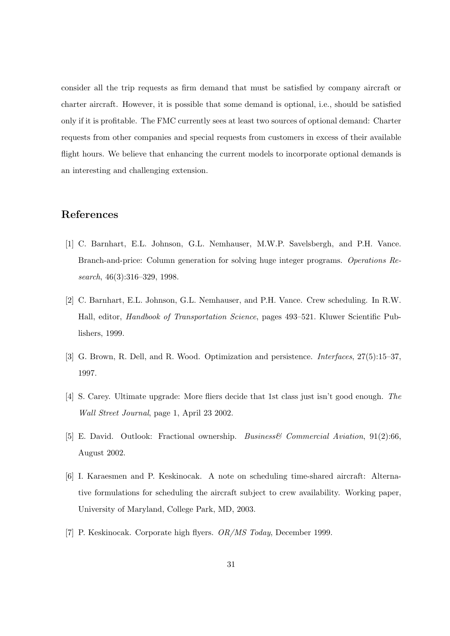consider all the trip requests as firm demand that must be satisfied by company aircraft or charter aircraft. However, it is possible that some demand is optional, i.e., should be satisfied only if it is profitable. The FMC currently sees at least two sources of optional demand: Charter requests from other companies and special requests from customers in excess of their available flight hours. We believe that enhancing the current models to incorporate optional demands is an interesting and challenging extension.

# References

- [1] C. Barnhart, E.L. Johnson, G.L. Nemhauser, M.W.P. Savelsbergh, and P.H. Vance. Branch-and-price: Column generation for solving huge integer programs. Operations Research, 46(3):316–329, 1998.
- [2] C. Barnhart, E.L. Johnson, G.L. Nemhauser, and P.H. Vance. Crew scheduling. In R.W. Hall, editor, Handbook of Transportation Science, pages 493–521. Kluwer Scientific Publishers, 1999.
- [3] G. Brown, R. Dell, and R. Wood. Optimization and persistence. Interfaces, 27(5):15–37, 1997.
- [4] S. Carey. Ultimate upgrade: More fliers decide that 1st class just isn't good enough. The Wall Street Journal, page 1, April 23 2002.
- [5] E. David. Outlook: Fractional ownership. Business& Commercial Aviation, 91(2):66, August 2002.
- [6] I. Karaesmen and P. Keskinocak. A note on scheduling time-shared aircraft: Alternative formulations for scheduling the aircraft subject to crew availability. Working paper, University of Maryland, College Park, MD, 2003.
- [7] P. Keskinocak. Corporate high flyers. OR/MS Today, December 1999.